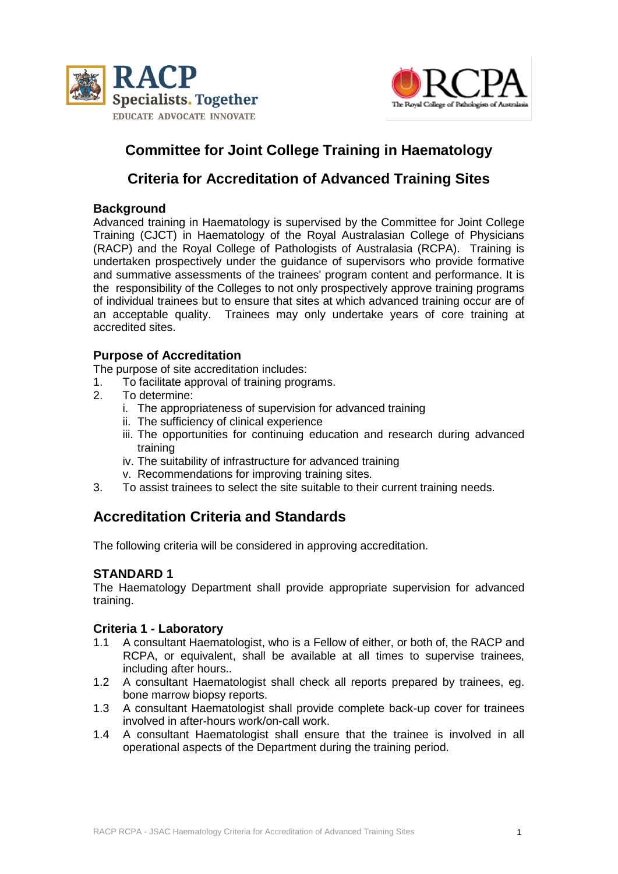



# **Committee for Joint College Training in Haematology**

## **Criteria for Accreditation of Advanced Training Sites**

### **Background**

Advanced training in Haematology is supervised by the Committee for Joint College Training (CJCT) in Haematology of the Royal Australasian College of Physicians (RACP) and the Royal College of Pathologists of Australasia (RCPA). Training is undertaken prospectively under the guidance of supervisors who provide formative and summative assessments of the trainees' program content and performance. It is the responsibility of the Colleges to not only prospectively approve training programs of individual trainees but to ensure that sites at which advanced training occur are of an acceptable quality. Trainees may only undertake years of core training at accredited sites.

## **Purpose of Accreditation**

The purpose of site accreditation includes:

- 1. To facilitate approval of training programs.
- 2. To determine:
	- i. The appropriateness of supervision for advanced training
	- ii. The sufficiency of clinical experience
	- iii. The opportunities for continuing education and research during advanced training
	- iv. The suitability of infrastructure for advanced training
	- v. Recommendations for improving training sites.
- 3. To assist trainees to select the site suitable to their current training needs.

## **Accreditation Criteria and Standards**

The following criteria will be considered in approving accreditation.

## **STANDARD 1**

The Haematology Department shall provide appropriate supervision for advanced training.

## **Criteria 1 - Laboratory**

- 1.1 A consultant Haematologist, who is a Fellow of either, or both of, the RACP and RCPA, or equivalent, shall be available at all times to supervise trainees, including after hours..
- 1.2 A consultant Haematologist shall check all reports prepared by trainees, eg. bone marrow biopsy reports.
- 1.3 A consultant Haematologist shall provide complete back-up cover for trainees involved in after-hours work/on-call work.
- 1.4 A consultant Haematologist shall ensure that the trainee is involved in all operational aspects of the Department during the training period.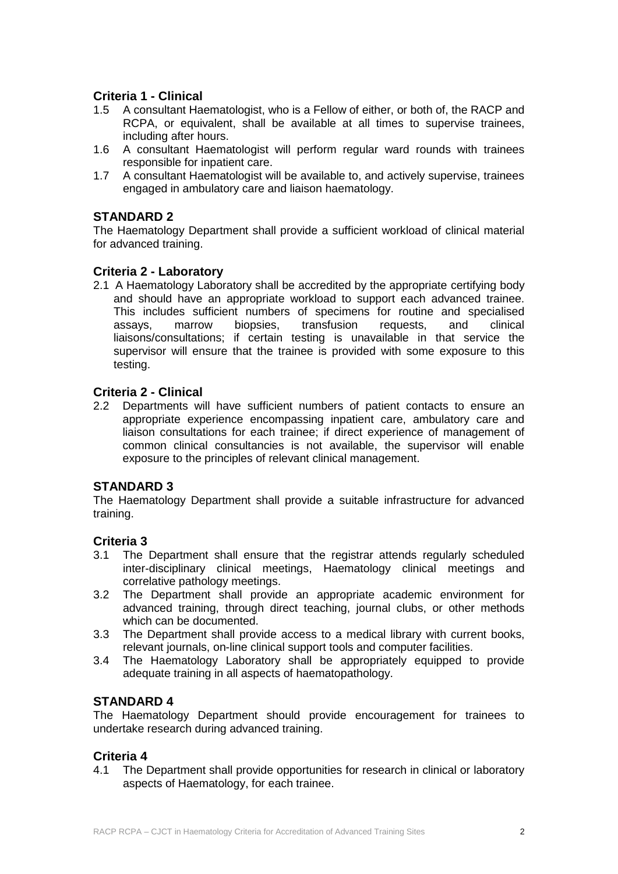## **Criteria 1 - Clinical**

- 1.5 A consultant Haematologist, who is a Fellow of either, or both of, the RACP and RCPA, or equivalent, shall be available at all times to supervise trainees, including after hours.
- 1.6 A consultant Haematologist will perform regular ward rounds with trainees responsible for inpatient care.
- 1.7 A consultant Haematologist will be available to, and actively supervise, trainees engaged in ambulatory care and liaison haematology.

#### **STANDARD 2**

The Haematology Department shall provide a sufficient workload of clinical material for advanced training.

#### **Criteria 2 - Laboratory**

2.1 A Haematology Laboratory shall be accredited by the appropriate certifying body and should have an appropriate workload to support each advanced trainee. This includes sufficient numbers of specimens for routine and specialised assays, marrow biopsies, transfusion requests, and clinical liaisons/consultations; if certain testing is unavailable in that service the supervisor will ensure that the trainee is provided with some exposure to this testing.

## **Criteria 2 - Clinical**

2.2 Departments will have sufficient numbers of patient contacts to ensure an appropriate experience encompassing inpatient care, ambulatory care and liaison consultations for each trainee; if direct experience of management of common clinical consultancies is not available, the supervisor will enable exposure to the principles of relevant clinical management.

#### **STANDARD 3**

The Haematology Department shall provide a suitable infrastructure for advanced training.

#### **Criteria 3**

- 3.1 The Department shall ensure that the registrar attends regularly scheduled inter-disciplinary clinical meetings, Haematology clinical meetings and correlative pathology meetings.
- 3.2 The Department shall provide an appropriate academic environment for advanced training, through direct teaching, journal clubs, or other methods which can be documented.
- 3.3 The Department shall provide access to a medical library with current books, relevant journals, on-line clinical support tools and computer facilities.
- 3.4 The Haematology Laboratory shall be appropriately equipped to provide adequate training in all aspects of haematopathology.

#### **STANDARD 4**

The Haematology Department should provide encouragement for trainees to undertake research during advanced training.

#### **Criteria 4**

4.1 The Department shall provide opportunities for research in clinical or laboratory aspects of Haematology, for each trainee.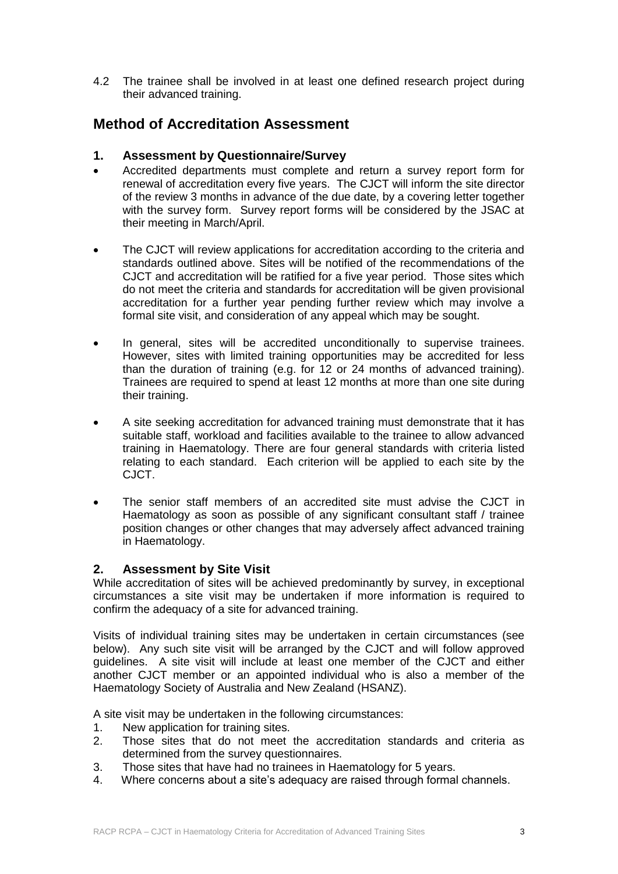4.2 The trainee shall be involved in at least one defined research project during their advanced training.

## **Method of Accreditation Assessment**

#### **1. Assessment by Questionnaire/Survey**

- Accredited departments must complete and return a survey report form for renewal of accreditation every five years. The CJCT will inform the site director of the review 3 months in advance of the due date, by a covering letter together with the survey form. Survey report forms will be considered by the JSAC at their meeting in March/April.
- The CJCT will review applications for accreditation according to the criteria and standards outlined above. Sites will be notified of the recommendations of the CJCT and accreditation will be ratified for a five year period. Those sites which do not meet the criteria and standards for accreditation will be given provisional accreditation for a further year pending further review which may involve a formal site visit, and consideration of any appeal which may be sought.
- In general, sites will be accredited unconditionally to supervise trainees. However, sites with limited training opportunities may be accredited for less than the duration of training (e.g. for 12 or 24 months of advanced training). Trainees are required to spend at least 12 months at more than one site during their training.
- A site seeking accreditation for advanced training must demonstrate that it has suitable staff, workload and facilities available to the trainee to allow advanced training in Haematology. There are four general standards with criteria listed relating to each standard. Each criterion will be applied to each site by the CJCT.
- The senior staff members of an accredited site must advise the CJCT in Haematology as soon as possible of any significant consultant staff / trainee position changes or other changes that may adversely affect advanced training in Haematology.

#### **2. Assessment by Site Visit**

While accreditation of sites will be achieved predominantly by survey, in exceptional circumstances a site visit may be undertaken if more information is required to confirm the adequacy of a site for advanced training.

Visits of individual training sites may be undertaken in certain circumstances (see below). Any such site visit will be arranged by the CJCT and will follow approved guidelines. A site visit will include at least one member of the CJCT and either another CJCT member or an appointed individual who is also a member of the Haematology Society of Australia and New Zealand (HSANZ).

A site visit may be undertaken in the following circumstances:

- 1. New application for training sites.
- 2. Those sites that do not meet the accreditation standards and criteria as determined from the survey questionnaires.
- 3. Those sites that have had no trainees in Haematology for 5 years.
- 4. Where concerns about a site's adequacy are raised through formal channels.